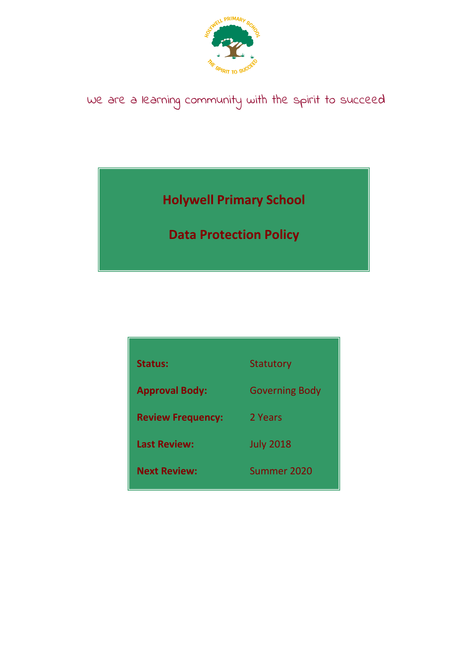

# We are a learning community with the spirit to succeed

## **Holywell Primary School**

## **Data Protection Policy**

| <b>Status:</b>           | Statutory             |
|--------------------------|-----------------------|
| <b>Approval Body:</b>    | <b>Governing Body</b> |
| <b>Review Frequency:</b> | 2 Years               |
| <b>Last Review:</b>      | <b>July 2018</b>      |
| <b>Next Review:</b>      | Summer 2020           |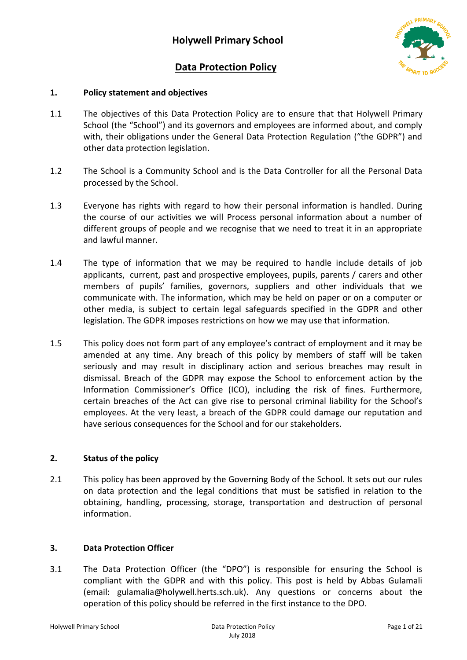

## **Data Protection Policy**

## **1. Policy statement and objectives**

- 1.1 The objectives of this Data Protection Policy are to ensure that that Holywell Primary School (the "School") and its governors and employees are informed about, and comply with, their obligations under the General Data Protection Regulation ("the GDPR") and other data protection legislation.
- 1.2 The School is a Community School and is the Data Controller for all the Personal Data processed by the School.
- 1.3 Everyone has rights with regard to how their personal information is handled. During the course of our activities we will Process personal information about a number of different groups of people and we recognise that we need to treat it in an appropriate and lawful manner.
- 1.4 The type of information that we may be required to handle include details of job applicants, current, past and prospective employees, pupils, parents / carers and other members of pupils' families, governors, suppliers and other individuals that we communicate with. The information, which may be held on paper or on a computer or other media, is subject to certain legal safeguards specified in the GDPR and other legislation. The GDPR imposes restrictions on how we may use that information.
- 1.5 This policy does not form part of any employee's contract of employment and it may be amended at any time. Any breach of this policy by members of staff will be taken seriously and may result in disciplinary action and serious breaches may result in dismissal. Breach of the GDPR may expose the School to enforcement action by the Information Commissioner's Office (ICO), including the risk of fines. Furthermore, certain breaches of the Act can give rise to personal criminal liability for the School's employees. At the very least, a breach of the GDPR could damage our reputation and have serious consequences for the School and for our stakeholders.

## **2. Status of the policy**

2.1 This policy has been approved by the Governing Body of the School. It sets out our rules on data protection and the legal conditions that must be satisfied in relation to the obtaining, handling, processing, storage, transportation and destruction of personal information.

## **3. Data Protection Officer**

3.1 The Data Protection Officer (the "DPO") is responsible for ensuring the School is compliant with the GDPR and with this policy. This post is held by Abbas Gulamali (email: [gulamalia@holywell.herts.sch.uk\)](mailto:gulamalia@holywell.herts.sch.uk). Any questions or concerns about the operation of this policy should be referred in the first instance to the DPO.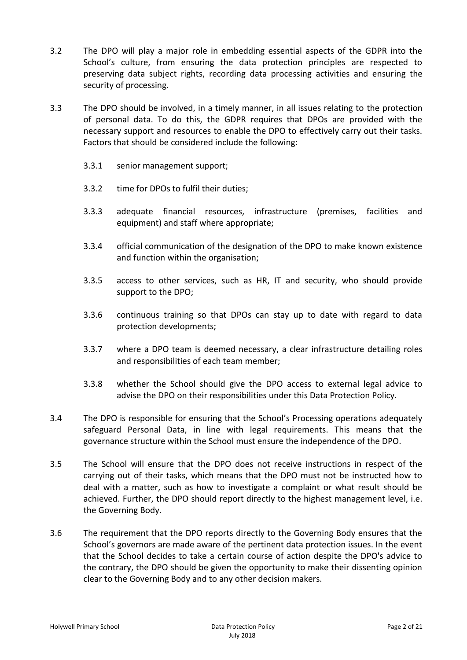- 3.2 The DPO will play a major role in embedding essential aspects of the GDPR into the School's culture, from ensuring the data protection principles are respected to preserving data subject rights, recording data processing activities and ensuring the security of processing.
- 3.3 The DPO should be involved, in a timely manner, in all issues relating to the protection of personal data. To do this, the GDPR requires that DPOs are provided with the necessary support and resources to enable the DPO to effectively carry out their tasks. Factors that should be considered include the following:
	- 3.3.1 senior management support;
	- 3.3.2 time for DPOs to fulfil their duties;
	- 3.3.3 adequate financial resources, infrastructure (premises, facilities and equipment) and staff where appropriate;
	- 3.3.4 official communication of the designation of the DPO to make known existence and function within the organisation;
	- 3.3.5 access to other services, such as HR, IT and security, who should provide support to the DPO;
	- 3.3.6 continuous training so that DPOs can stay up to date with regard to data protection developments;
	- 3.3.7 where a DPO team is deemed necessary, a clear infrastructure detailing roles and responsibilities of each team member;
	- 3.3.8 whether the School should give the DPO access to external legal advice to advise the DPO on their responsibilities under this Data Protection Policy.
- 3.4 The DPO is responsible for ensuring that the School's Processing operations adequately safeguard Personal Data, in line with legal requirements. This means that the governance structure within the School must ensure the independence of the DPO.
- 3.5 The School will ensure that the DPO does not receive instructions in respect of the carrying out of their tasks, which means that the DPO must not be instructed how to deal with a matter, such as how to investigate a complaint or what result should be achieved. Further, the DPO should report directly to the highest management level, i.e. the Governing Body.
- 3.6 The requirement that the DPO reports directly to the Governing Body ensures that the School's governors are made aware of the pertinent data protection issues. In the event that the School decides to take a certain course of action despite the DPO's advice to the contrary, the DPO should be given the opportunity to make their dissenting opinion clear to the Governing Body and to any other decision makers.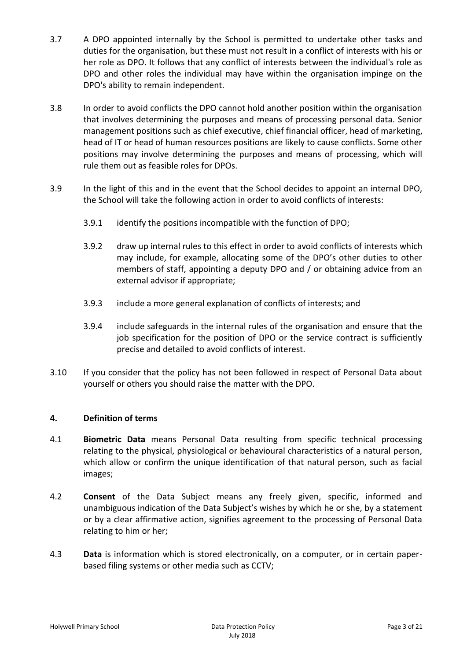- 3.7 A DPO appointed internally by the School is permitted to undertake other tasks and duties for the organisation, but these must not result in a conflict of interests with his or her role as DPO. It follows that any conflict of interests between the individual's role as DPO and other roles the individual may have within the organisation impinge on the DPO's ability to remain independent.
- 3.8 In order to avoid conflicts the DPO cannot hold another position within the organisation that involves determining the purposes and means of processing personal data. Senior management positions such as chief executive, chief financial officer, head of marketing, head of IT or head of human resources positions are likely to cause conflicts. Some other positions may involve determining the purposes and means of processing, which will rule them out as feasible roles for DPOs.
- 3.9 In the light of this and in the event that the School decides to appoint an internal DPO, the School will take the following action in order to avoid conflicts of interests:
	- 3.9.1 identify the positions incompatible with the function of DPO;
	- 3.9.2 draw up internal rules to this effect in order to avoid conflicts of interests which may include, for example, allocating some of the DPO's other duties to other members of staff, appointing a deputy DPO and / or obtaining advice from an external advisor if appropriate;
	- 3.9.3 include a more general explanation of conflicts of interests; and
	- 3.9.4 include safeguards in the internal rules of the organisation and ensure that the job specification for the position of DPO or the service contract is sufficiently precise and detailed to avoid conflicts of interest.
- 3.10 If you consider that the policy has not been followed in respect of Personal Data about yourself or others you should raise the matter with the DPO.

## **4. Definition of terms**

- 4.1 **Biometric Data** means Personal Data resulting from specific technical processing relating to the physical, physiological or behavioural characteristics of a natural person, which allow or confirm the unique identification of that natural person, such as facial images;
- 4.2 **Consent** of the Data Subject means any freely given, specific, informed and unambiguous indication of the Data Subject's wishes by which he or she, by a statement or by a clear affirmative action, signifies agreement to the processing of Personal Data relating to him or her;
- 4.3 **Data** is information which is stored electronically, on a computer, or in certain paperbased filing systems or other media such as CCTV;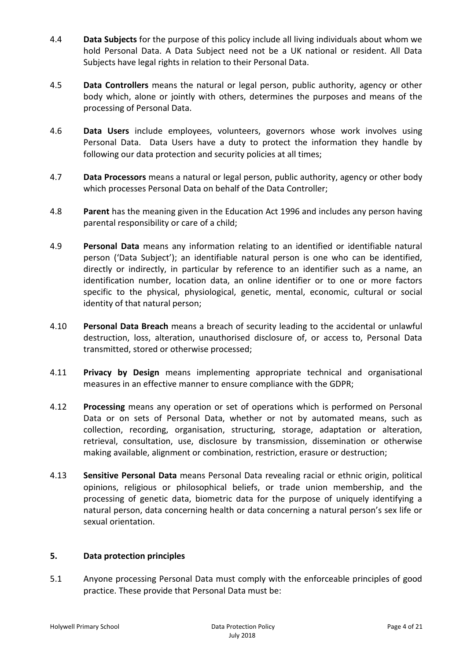- 4.4 **Data Subjects** for the purpose of this policy include all living individuals about whom we hold Personal Data. A Data Subject need not be a UK national or resident. All Data Subjects have legal rights in relation to their Personal Data.
- 4.5 **Data Controllers** means the natural or legal person, public authority, agency or other body which, alone or jointly with others, determines the purposes and means of the processing of Personal Data.
- 4.6 **Data Users** include employees, volunteers, governors whose work involves using Personal Data. Data Users have a duty to protect the information they handle by following our data protection and security policies at all times;
- 4.7 **Data Processors** means a natural or legal person, public authority, agency or other body which processes Personal Data on behalf of the Data Controller;
- 4.8 **Parent** has the meaning given in the Education Act 1996 and includes any person having parental responsibility or care of a child;
- 4.9 **Personal Data** means any information relating to an identified or identifiable natural person ('Data Subject'); an identifiable natural person is one who can be identified, directly or indirectly, in particular by reference to an identifier such as a name, an identification number, location data, an online identifier or to one or more factors specific to the physical, physiological, genetic, mental, economic, cultural or social identity of that natural person;
- 4.10 **Personal Data Breach** means a breach of security leading to the accidental or unlawful destruction, loss, alteration, unauthorised disclosure of, or access to, Personal Data transmitted, stored or otherwise processed;
- 4.11 **Privacy by Design** means implementing appropriate technical and organisational measures in an effective manner to ensure compliance with the GDPR;
- 4.12 **Processing** means any operation or set of operations which is performed on Personal Data or on sets of Personal Data, whether or not by automated means, such as collection, recording, organisation, structuring, storage, adaptation or alteration, retrieval, consultation, use, disclosure by transmission, dissemination or otherwise making available, alignment or combination, restriction, erasure or destruction;
- 4.13 **Sensitive Personal Data** means Personal Data revealing racial or ethnic origin, political opinions, religious or philosophical beliefs, or trade union membership, and the processing of genetic data, biometric data for the purpose of uniquely identifying a natural person, data concerning health or data concerning a natural person's sex life or sexual orientation.

## **5. Data protection principles**

5.1 Anyone processing Personal Data must comply with the enforceable principles of good practice. These provide that Personal Data must be: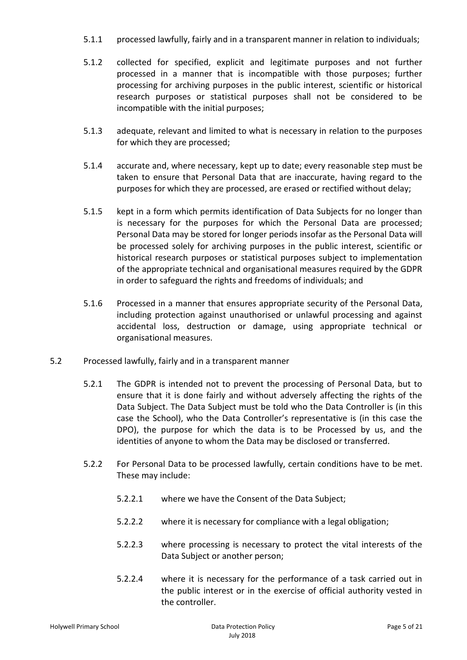- 5.1.1 processed lawfully, fairly and in a transparent manner in relation to individuals;
- 5.1.2 collected for specified, explicit and legitimate purposes and not further processed in a manner that is incompatible with those purposes; further processing for archiving purposes in the public interest, scientific or historical research purposes or statistical purposes shall not be considered to be incompatible with the initial purposes;
- 5.1.3 adequate, relevant and limited to what is necessary in relation to the purposes for which they are processed;
- 5.1.4 accurate and, where necessary, kept up to date; every reasonable step must be taken to ensure that Personal Data that are inaccurate, having regard to the purposes for which they are processed, are erased or rectified without delay;
- 5.1.5 kept in a form which permits identification of Data Subjects for no longer than is necessary for the purposes for which the Personal Data are processed; Personal Data may be stored for longer periods insofar as the Personal Data will be processed solely for archiving purposes in the public interest, scientific or historical research purposes or statistical purposes subject to implementation of the appropriate technical and organisational measures required by the GDPR in order to safeguard the rights and freedoms of individuals; and
- 5.1.6 Processed in a manner that ensures appropriate security of the Personal Data, including protection against unauthorised or unlawful processing and against accidental loss, destruction or damage, using appropriate technical or organisational measures.
- 5.2 Processed lawfully, fairly and in a transparent manner
	- 5.2.1 The GDPR is intended not to prevent the processing of Personal Data, but to ensure that it is done fairly and without adversely affecting the rights of the Data Subject. The Data Subject must be told who the Data Controller is (in this case the School), who the Data Controller's representative is (in this case the DPO), the purpose for which the data is to be Processed by us, and the identities of anyone to whom the Data may be disclosed or transferred.
	- 5.2.2 For Personal Data to be processed lawfully, certain conditions have to be met. These may include:
		- 5.2.2.1 where we have the Consent of the Data Subject;
		- 5.2.2.2 where it is necessary for compliance with a legal obligation;
		- 5.2.2.3 where processing is necessary to protect the vital interests of the Data Subject or another person;
		- 5.2.2.4 where it is necessary for the performance of a task carried out in the public interest or in the exercise of official authority vested in the controller.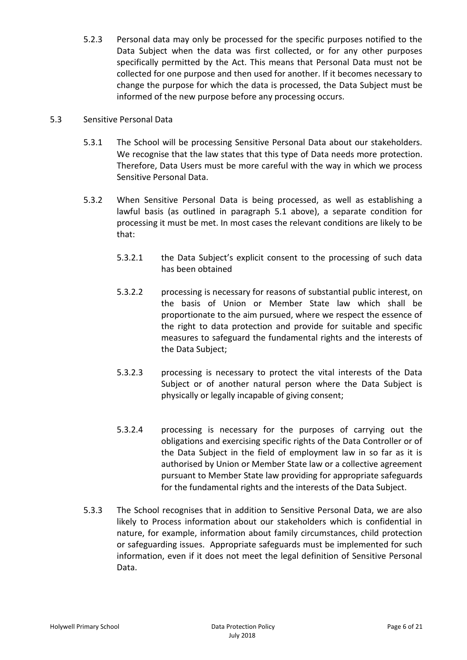5.2.3 Personal data may only be processed for the specific purposes notified to the Data Subject when the data was first collected, or for any other purposes specifically permitted by the Act. This means that Personal Data must not be collected for one purpose and then used for another. If it becomes necessary to change the purpose for which the data is processed, the Data Subject must be informed of the new purpose before any processing occurs.

#### 5.3 Sensitive Personal Data

- 5.3.1 The School will be processing Sensitive Personal Data about our stakeholders. We recognise that the law states that this type of Data needs more protection. Therefore, Data Users must be more careful with the way in which we process Sensitive Personal Data.
- 5.3.2 When Sensitive Personal Data is being processed, as well as establishing a lawful basis (as outlined in paragraph 5.1 above), a separate condition for processing it must be met. In most cases the relevant conditions are likely to be that:
	- 5.3.2.1 the Data Subject's explicit consent to the processing of such data has been obtained
	- 5.3.2.2 processing is necessary for reasons of substantial public interest, on the basis of Union or Member State law which shall be proportionate to the aim pursued, where we respect the essence of the right to data protection and provide for suitable and specific measures to safeguard the fundamental rights and the interests of the Data Subject;
	- 5.3.2.3 processing is necessary to protect the vital interests of the Data Subject or of another natural person where the Data Subject is physically or legally incapable of giving consent;
	- 5.3.2.4 processing is necessary for the purposes of carrying out the obligations and exercising specific rights of the Data Controller or of the Data Subject in the field of employment law in so far as it is authorised by Union or Member State law or a collective agreement pursuant to Member State law providing for appropriate safeguards for the fundamental rights and the interests of the Data Subject.
- 5.3.3 The School recognises that in addition to Sensitive Personal Data, we are also likely to Process information about our stakeholders which is confidential in nature, for example, information about family circumstances, child protection or safeguarding issues. Appropriate safeguards must be implemented for such information, even if it does not meet the legal definition of Sensitive Personal Data.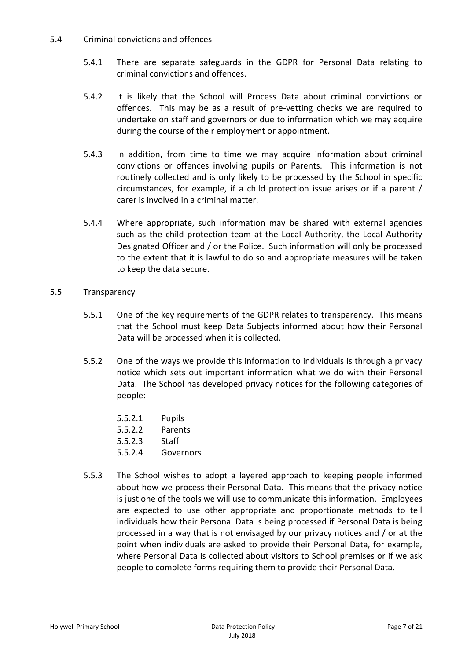## 5.4 Criminal convictions and offences

- 5.4.1 There are separate safeguards in the GDPR for Personal Data relating to criminal convictions and offences.
- 5.4.2 It is likely that the School will Process Data about criminal convictions or offences. This may be as a result of pre-vetting checks we are required to undertake on staff and governors or due to information which we may acquire during the course of their employment or appointment.
- 5.4.3 In addition, from time to time we may acquire information about criminal convictions or offences involving pupils or Parents. This information is not routinely collected and is only likely to be processed by the School in specific circumstances, for example, if a child protection issue arises or if a parent / carer is involved in a criminal matter.
- 5.4.4 Where appropriate, such information may be shared with external agencies such as the child protection team at the Local Authority, the Local Authority Designated Officer and / or the Police. Such information will only be processed to the extent that it is lawful to do so and appropriate measures will be taken to keep the data secure.

## 5.5 Transparency

- 5.5.1 One of the key requirements of the GDPR relates to transparency. This means that the School must keep Data Subjects informed about how their Personal Data will be processed when it is collected.
- 5.5.2 One of the ways we provide this information to individuals is through a privacy notice which sets out important information what we do with their Personal Data. The School has developed privacy notices for the following categories of people:
	- 5.5.2.1 Pupils
	- 5.5.2.2 Parents
	- 5.5.2.3 Staff
	- 5.5.2.4 Governors
- 5.5.3 The School wishes to adopt a layered approach to keeping people informed about how we process their Personal Data. This means that the privacy notice is just one of the tools we will use to communicate this information. Employees are expected to use other appropriate and proportionate methods to tell individuals how their Personal Data is being processed if Personal Data is being processed in a way that is not envisaged by our privacy notices and / or at the point when individuals are asked to provide their Personal Data, for example, where Personal Data is collected about visitors to School premises or if we ask people to complete forms requiring them to provide their Personal Data.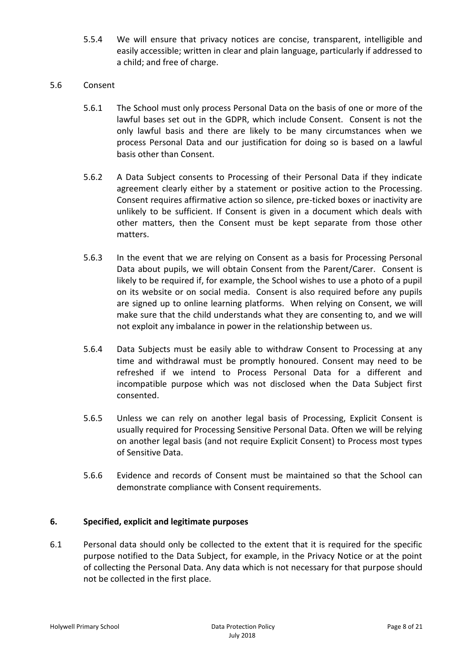- 5.5.4 We will ensure that privacy notices are concise, transparent, intelligible and easily accessible; written in clear and plain language, particularly if addressed to a child; and free of charge.
- 5.6 Consent
	- 5.6.1 The School must only process Personal Data on the basis of one or more of the lawful bases set out in the GDPR, which include Consent. Consent is not the only lawful basis and there are likely to be many circumstances when we process Personal Data and our justification for doing so is based on a lawful basis other than Consent.
	- 5.6.2 A Data Subject consents to Processing of their Personal Data if they indicate agreement clearly either by a statement or positive action to the Processing. Consent requires affirmative action so silence, pre-ticked boxes or inactivity are unlikely to be sufficient. If Consent is given in a document which deals with other matters, then the Consent must be kept separate from those other matters.
	- 5.6.3 In the event that we are relying on Consent as a basis for Processing Personal Data about pupils, we will obtain Consent from the Parent/Carer. Consent is likely to be required if, for example, the School wishes to use a photo of a pupil on its website or on social media. Consent is also required before any pupils are signed up to online learning platforms. When relying on Consent, we will make sure that the child understands what they are consenting to, and we will not exploit any imbalance in power in the relationship between us.
	- 5.6.4 Data Subjects must be easily able to withdraw Consent to Processing at any time and withdrawal must be promptly honoured. Consent may need to be refreshed if we intend to Process Personal Data for a different and incompatible purpose which was not disclosed when the Data Subject first consented.
	- 5.6.5 Unless we can rely on another legal basis of Processing, Explicit Consent is usually required for Processing Sensitive Personal Data. Often we will be relying on another legal basis (and not require Explicit Consent) to Process most types of Sensitive Data.
	- 5.6.6 Evidence and records of Consent must be maintained so that the School can demonstrate compliance with Consent requirements.

## **6. Specified, explicit and legitimate purposes**

6.1 Personal data should only be collected to the extent that it is required for the specific purpose notified to the Data Subject, for example, in the Privacy Notice or at the point of collecting the Personal Data. Any data which is not necessary for that purpose should not be collected in the first place.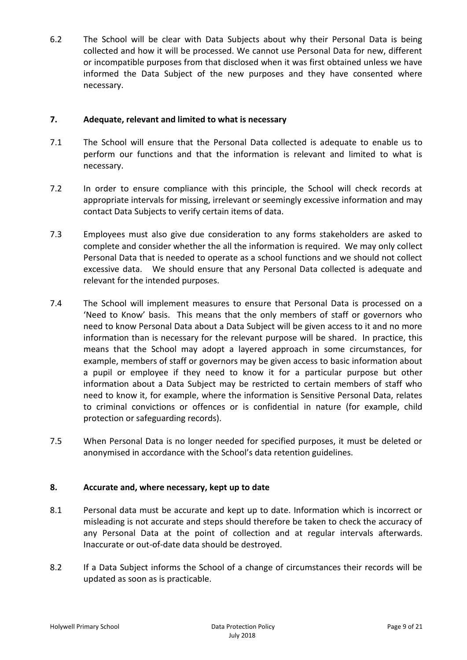6.2 The School will be clear with Data Subjects about why their Personal Data is being collected and how it will be processed. We cannot use Personal Data for new, different or incompatible purposes from that disclosed when it was first obtained unless we have informed the Data Subject of the new purposes and they have consented where necessary.

## **7. Adequate, relevant and limited to what is necessary**

- 7.1 The School will ensure that the Personal Data collected is adequate to enable us to perform our functions and that the information is relevant and limited to what is necessary.
- 7.2 In order to ensure compliance with this principle, the School will check records at appropriate intervals for missing, irrelevant or seemingly excessive information and may contact Data Subjects to verify certain items of data.
- 7.3 Employees must also give due consideration to any forms stakeholders are asked to complete and consider whether the all the information is required. We may only collect Personal Data that is needed to operate as a school functions and we should not collect excessive data. We should ensure that any Personal Data collected is adequate and relevant for the intended purposes.
- 7.4 The School will implement measures to ensure that Personal Data is processed on a 'Need to Know' basis. This means that the only members of staff or governors who need to know Personal Data about a Data Subject will be given access to it and no more information than is necessary for the relevant purpose will be shared. In practice, this means that the School may adopt a layered approach in some circumstances, for example, members of staff or governors may be given access to basic information about a pupil or employee if they need to know it for a particular purpose but other information about a Data Subject may be restricted to certain members of staff who need to know it, for example, where the information is Sensitive Personal Data, relates to criminal convictions or offences or is confidential in nature (for example, child protection or safeguarding records).
- 7.5 When Personal Data is no longer needed for specified purposes, it must be deleted or anonymised in accordance with the School's data retention guidelines.

## **8. Accurate and, where necessary, kept up to date**

- 8.1 Personal data must be accurate and kept up to date. Information which is incorrect or misleading is not accurate and steps should therefore be taken to check the accuracy of any Personal Data at the point of collection and at regular intervals afterwards. Inaccurate or out-of-date data should be destroyed.
- 8.2 If a Data Subject informs the School of a change of circumstances their records will be updated as soon as is practicable.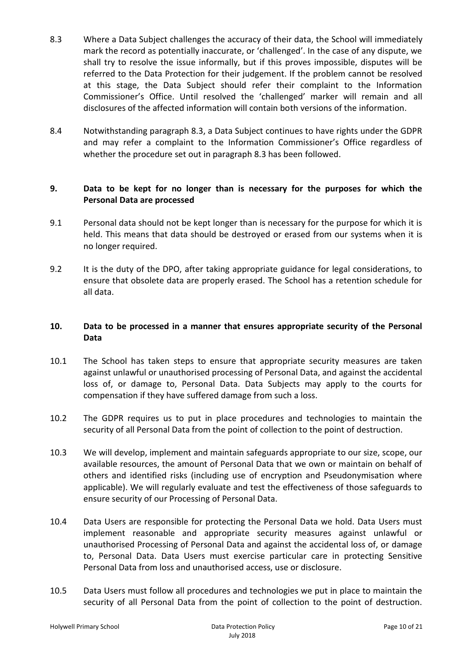- 8.3 Where a Data Subject challenges the accuracy of their data, the School will immediately mark the record as potentially inaccurate, or 'challenged'. In the case of any dispute, we shall try to resolve the issue informally, but if this proves impossible, disputes will be referred to the Data Protection for their judgement. If the problem cannot be resolved at this stage, the Data Subject should refer their complaint to the Information Commissioner's Office. Until resolved the 'challenged' marker will remain and all disclosures of the affected information will contain both versions of the information.
- 8.4 Notwithstanding paragraph 8.3, a Data Subject continues to have rights under the GDPR and may refer a complaint to the Information Commissioner's Office regardless of whether the procedure set out in paragraph 8.3 has been followed.

## **9. Data to be kept for no longer than is necessary for the purposes for which the Personal Data are processed**

- 9.1 Personal data should not be kept longer than is necessary for the purpose for which it is held. This means that data should be destroyed or erased from our systems when it is no longer required.
- 9.2 It is the duty of the DPO, after taking appropriate guidance for legal considerations, to ensure that obsolete data are properly erased. The School has a retention schedule for all data.

## **10. Data to be processed in a manner that ensures appropriate security of the Personal Data**

- 10.1 The School has taken steps to ensure that appropriate security measures are taken against unlawful or unauthorised processing of Personal Data, and against the accidental loss of, or damage to, Personal Data. Data Subjects may apply to the courts for compensation if they have suffered damage from such a loss.
- 10.2 The GDPR requires us to put in place procedures and technologies to maintain the security of all Personal Data from the point of collection to the point of destruction.
- 10.3 We will develop, implement and maintain safeguards appropriate to our size, scope, our available resources, the amount of Personal Data that we own or maintain on behalf of others and identified risks (including use of encryption and Pseudonymisation where applicable). We will regularly evaluate and test the effectiveness of those safeguards to ensure security of our Processing of Personal Data.
- 10.4 Data Users are responsible for protecting the Personal Data we hold. Data Users must implement reasonable and appropriate security measures against unlawful or unauthorised Processing of Personal Data and against the accidental loss of, or damage to, Personal Data. Data Users must exercise particular care in protecting Sensitive Personal Data from loss and unauthorised access, use or disclosure.
- 10.5 Data Users must follow all procedures and technologies we put in place to maintain the security of all Personal Data from the point of collection to the point of destruction.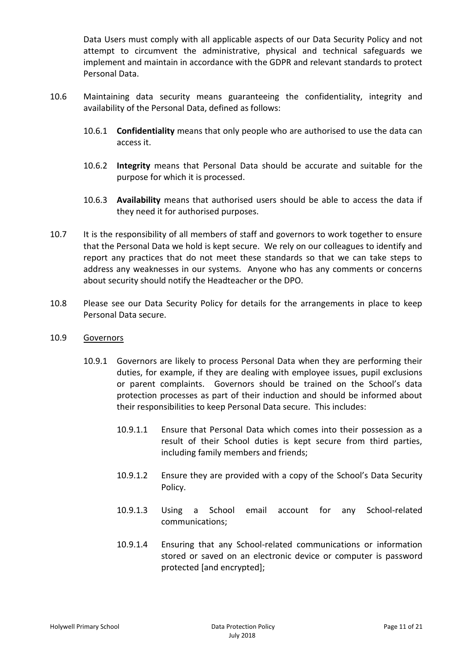Data Users must comply with all applicable aspects of our Data Security Policy and not attempt to circumvent the administrative, physical and technical safeguards we implement and maintain in accordance with the GDPR and relevant standards to protect Personal Data.

- 10.6 Maintaining data security means guaranteeing the confidentiality, integrity and availability of the Personal Data, defined as follows:
	- 10.6.1 **Confidentiality** means that only people who are authorised to use the data can access it.
	- 10.6.2 **Integrity** means that Personal Data should be accurate and suitable for the purpose for which it is processed.
	- 10.6.3 **Availability** means that authorised users should be able to access the data if they need it for authorised purposes.
- 10.7 It is the responsibility of all members of staff and governors to work together to ensure that the Personal Data we hold is kept secure. We rely on our colleagues to identify and report any practices that do not meet these standards so that we can take steps to address any weaknesses in our systems. Anyone who has any comments or concerns about security should notify the Headteacher or the DPO.
- 10.8 Please see our Data Security Policy for details for the arrangements in place to keep Personal Data secure.

#### 10.9 Governors

- 10.9.1 Governors are likely to process Personal Data when they are performing their duties, for example, if they are dealing with employee issues, pupil exclusions or parent complaints. Governors should be trained on the School's data protection processes as part of their induction and should be informed about their responsibilities to keep Personal Data secure. This includes:
	- 10.9.1.1 Ensure that Personal Data which comes into their possession as a result of their School duties is kept secure from third parties, including family members and friends;
	- 10.9.1.2 Ensure they are provided with a copy of the School's Data Security Policy.
	- 10.9.1.3 Using a School email account for any School-related communications;
	- 10.9.1.4 Ensuring that any School-related communications or information stored or saved on an electronic device or computer is password protected [and encrypted];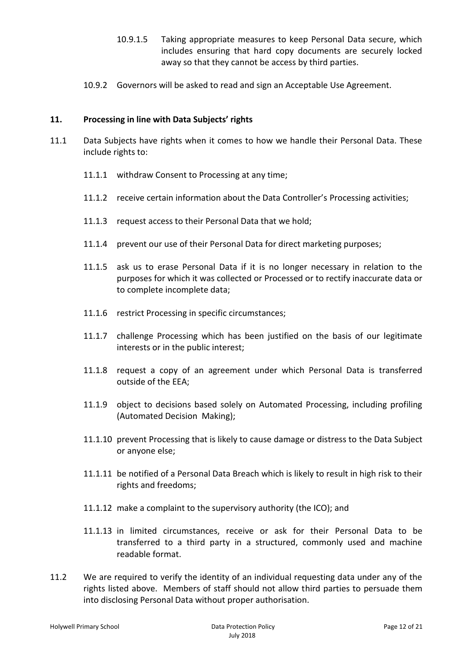- 10.9.1.5 Taking appropriate measures to keep Personal Data secure, which includes ensuring that hard copy documents are securely locked away so that they cannot be access by third parties.
- 10.9.2 Governors will be asked to read and sign an Acceptable Use Agreement.

## **11. Processing in line with Data Subjects' rights**

- 11.1 Data Subjects have rights when it comes to how we handle their Personal Data. These include rights to:
	- 11.1.1 withdraw Consent to Processing at any time;
	- 11.1.2 receive certain information about the Data Controller's Processing activities;
	- 11.1.3 request access to their Personal Data that we hold;
	- 11.1.4 prevent our use of their Personal Data for direct marketing purposes;
	- 11.1.5 ask us to erase Personal Data if it is no longer necessary in relation to the purposes for which it was collected or Processed or to rectify inaccurate data or to complete incomplete data;
	- 11.1.6 restrict Processing in specific circumstances;
	- 11.1.7 challenge Processing which has been justified on the basis of our legitimate interests or in the public interest;
	- 11.1.8 request a copy of an agreement under which Personal Data is transferred outside of the EEA;
	- 11.1.9 object to decisions based solely on Automated Processing, including profiling (Automated Decision Making);
	- 11.1.10 prevent Processing that is likely to cause damage or distress to the Data Subject or anyone else;
	- 11.1.11 be notified of a Personal Data Breach which is likely to result in high risk to their rights and freedoms;
	- 11.1.12 make a complaint to the supervisory authority (the ICO); and
	- 11.1.13 in limited circumstances, receive or ask for their Personal Data to be transferred to a third party in a structured, commonly used and machine readable format.
- 11.2 We are required to verify the identity of an individual requesting data under any of the rights listed above. Members of staff should not allow third parties to persuade them into disclosing Personal Data without proper authorisation.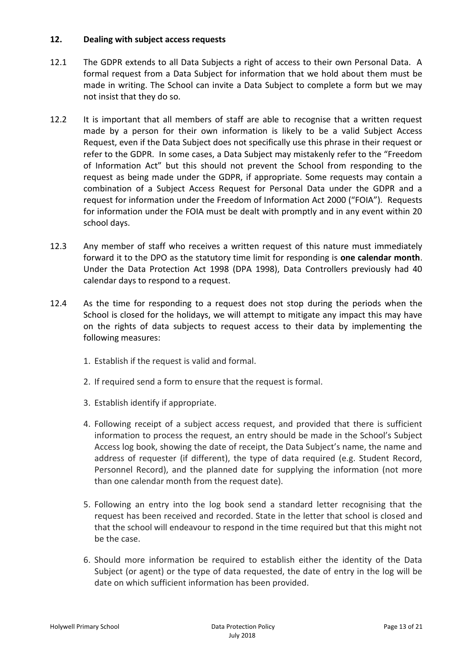## **12. Dealing with subject access requests**

- 12.1 The GDPR extends to all Data Subjects a right of access to their own Personal Data. A formal request from a Data Subject for information that we hold about them must be made in writing. The School can invite a Data Subject to complete a form but we may not insist that they do so.
- 12.2 It is important that all members of staff are able to recognise that a written request made by a person for their own information is likely to be a valid Subject Access Request, even if the Data Subject does not specifically use this phrase in their request or refer to the GDPR. In some cases, a Data Subject may mistakenly refer to the "Freedom of Information Act" but this should not prevent the School from responding to the request as being made under the GDPR, if appropriate. Some requests may contain a combination of a Subject Access Request for Personal Data under the GDPR and a request for information under the Freedom of Information Act 2000 ("FOIA"). Requests for information under the FOIA must be dealt with promptly and in any event within 20 school days.
- 12.3 Any member of staff who receives a written request of this nature must immediately forward it to the DPO as the statutory time limit for responding is **one calendar month**. Under the Data Protection Act 1998 (DPA 1998), Data Controllers previously had 40 calendar days to respond to a request.
- 12.4 As the time for responding to a request does not stop during the periods when the School is closed for the holidays, we will attempt to mitigate any impact this may have on the rights of data subjects to request access to their data by implementing the following measures:
	- 1. Establish if the request is valid and formal.
	- 2. If required send a form to ensure that the request is formal.
	- 3. Establish identify if appropriate.
	- 4. Following receipt of a subject access request, and provided that there is sufficient information to process the request, an entry should be made in the School's Subject Access log book, showing the date of receipt, the Data Subject's name, the name and address of requester (if different), the type of data required (e.g. Student Record, Personnel Record), and the planned date for supplying the information (not more than one calendar month from the request date).
	- 5. Following an entry into the log book send a standard letter recognising that the request has been received and recorded. State in the letter that school is closed and that the school will endeavour to respond in the time required but that this might not be the case.
	- 6. Should more information be required to establish either the identity of the Data Subject (or agent) or the type of data requested, the date of entry in the log will be date on which sufficient information has been provided.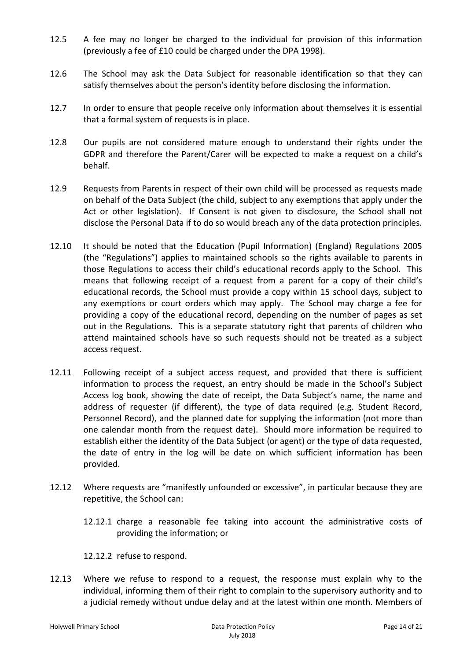- 12.5 A fee may no longer be charged to the individual for provision of this information (previously a fee of £10 could be charged under the DPA 1998).
- 12.6 The School may ask the Data Subject for reasonable identification so that they can satisfy themselves about the person's identity before disclosing the information.
- 12.7 In order to ensure that people receive only information about themselves it is essential that a formal system of requests is in place.
- 12.8 Our pupils are not considered mature enough to understand their rights under the GDPR and therefore the Parent/Carer will be expected to make a request on a child's behalf.
- 12.9 Requests from Parents in respect of their own child will be processed as requests made on behalf of the Data Subject (the child, subject to any exemptions that apply under the Act or other legislation). If Consent is not given to disclosure, the School shall not disclose the Personal Data if to do so would breach any of the data protection principles.
- 12.10 It should be noted that the Education (Pupil Information) (England) Regulations 2005 (the "Regulations") applies to maintained schools so the rights available to parents in those Regulations to access their child's educational records apply to the School. This means that following receipt of a request from a parent for a copy of their child's educational records, the School must provide a copy within 15 school days, subject to any exemptions or court orders which may apply. The School may charge a fee for providing a copy of the educational record, depending on the number of pages as set out in the Regulations. This is a separate statutory right that parents of children who attend maintained schools have so such requests should not be treated as a subject access request.
- 12.11 Following receipt of a subject access request, and provided that there is sufficient information to process the request, an entry should be made in the School's Subject Access log book, showing the date of receipt, the Data Subject's name, the name and address of requester (if different), the type of data required (e.g. Student Record, Personnel Record), and the planned date for supplying the information (not more than one calendar month from the request date). Should more information be required to establish either the identity of the Data Subject (or agent) or the type of data requested, the date of entry in the log will be date on which sufficient information has been provided.
- 12.12 Where requests are "manifestly unfounded or excessive", in particular because they are repetitive, the School can:
	- 12.12.1 charge a reasonable fee taking into account the administrative costs of providing the information; or

12.12.2 refuse to respond.

12.13 Where we refuse to respond to a request, the response must explain why to the individual, informing them of their right to complain to the supervisory authority and to a judicial remedy without undue delay and at the latest within one month. Members of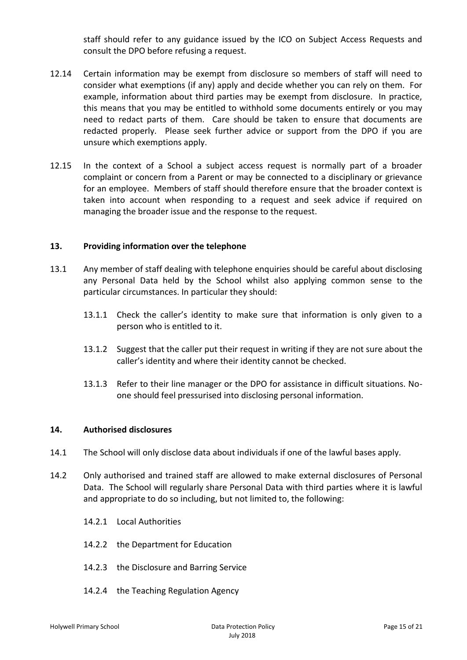staff should refer to any guidance issued by the ICO on Subject Access Requests and consult the DPO before refusing a request.

- 12.14 Certain information may be exempt from disclosure so members of staff will need to consider what exemptions (if any) apply and decide whether you can rely on them. For example, information about third parties may be exempt from disclosure. In practice, this means that you may be entitled to withhold some documents entirely or you may need to redact parts of them. Care should be taken to ensure that documents are redacted properly. Please seek further advice or support from the DPO if you are unsure which exemptions apply.
- 12.15 In the context of a School a subject access request is normally part of a broader complaint or concern from a Parent or may be connected to a disciplinary or grievance for an employee. Members of staff should therefore ensure that the broader context is taken into account when responding to a request and seek advice if required on managing the broader issue and the response to the request.

#### **13. Providing information over the telephone**

- 13.1 Any member of staff dealing with telephone enquiries should be careful about disclosing any Personal Data held by the School whilst also applying common sense to the particular circumstances. In particular they should:
	- 13.1.1 Check the caller's identity to make sure that information is only given to a person who is entitled to it.
	- 13.1.2 Suggest that the caller put their request in writing if they are not sure about the caller's identity and where their identity cannot be checked.
	- 13.1.3 Refer to their line manager or the DPO for assistance in difficult situations. Noone should feel pressurised into disclosing personal information.

#### **14. Authorised disclosures**

- 14.1 The School will only disclose data about individuals if one of the lawful bases apply.
- 14.2 Only authorised and trained staff are allowed to make external disclosures of Personal Data. The School will regularly share Personal Data with third parties where it is lawful and appropriate to do so including, but not limited to, the following:
	- 14.2.1 Local Authorities
	- 14.2.2 the Department for Education
	- 14.2.3 the Disclosure and Barring Service
	- 14.2.4 the Teaching Regulation Agency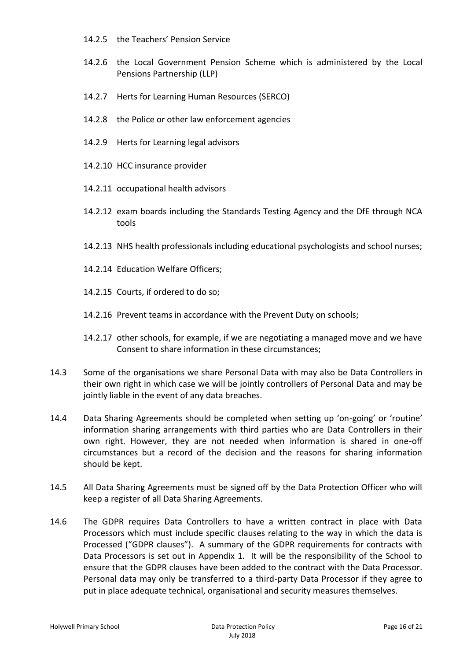- 14.2.5 the Teachers' Pension Service
- 14.2.6 the Local Government Pension Scheme which is administered by the Local Pensions Partnership (LLP)
- 14.2.7 Herts for Learning Human Resources (SERCO)
- 14.2.8 the Police or other law enforcement agencies
- 14.2.9 Herts for Learning legal advisors
- 14.2.10 HCC insurance provider
- 14.2.11 occupational health advisors
- 14.2.12 exam boards including the Standards Testing Agency and the DfE through NCA tools
- 14.2.13 NHS health professionals including educational psychologists and school nurses;
- 14.2.14 Education Welfare Officers;
- 14.2.15 Courts, if ordered to do so;
- 14.2.16 Prevent teams in accordance with the Prevent Duty on schools;
- 14.2.17 other schools, for example, if we are negotiating a managed move and we have Consent to share information in these circumstances;
- 14.3 Some of the organisations we share Personal Data with may also be Data Controllers in their own right in which case we will be jointly controllers of Personal Data and may be jointly liable in the event of any data breaches.
- 14.4 Data Sharing Agreements should be completed when setting up 'on-going' or 'routine' information sharing arrangements with third parties who are Data Controllers in their own right. However, they are not needed when information is shared in one-off circumstances but a record of the decision and the reasons for sharing information should be kept.
- 14.5 All Data Sharing Agreements must be signed off by the Data Protection Officer who will keep a register of all Data Sharing Agreements.
- 14.6 The GDPR requires Data Controllers to have a written contract in place with Data Processors which must include specific clauses relating to the way in which the data is Processed ("GDPR clauses"). A summary of the GDPR requirements for contracts with Data Processors is set out in Appendix 1. It will be the responsibility of the School to ensure that the GDPR clauses have been added to the contract with the Data Processor. Personal data may only be transferred to a third-party Data Processor if they agree to put in place adequate technical, organisational and security measures themselves.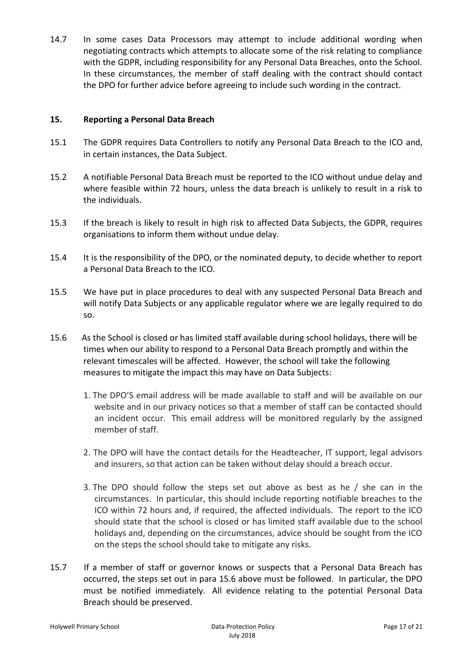14.7 In some cases Data Processors may attempt to include additional wording when negotiating contracts which attempts to allocate some of the risk relating to compliance with the GDPR, including responsibility for any Personal Data Breaches, onto the School. In these circumstances, the member of staff dealing with the contract should contact the DPO for further advice before agreeing to include such wording in the contract.

## **15. Reporting a Personal Data Breach**

- 15.1 The GDPR requires Data Controllers to notify any Personal Data Breach to the ICO and, in certain instances, the Data Subject.
- 15.2 A notifiable Personal Data Breach must be reported to the ICO without undue delay and where feasible within 72 hours, unless the data breach is unlikely to result in a risk to the individuals.
- 15.3 If the breach is likely to result in high risk to affected Data Subjects, the GDPR, requires organisations to inform them without undue delay.
- 15.4 It is the responsibility of the DPO, or the nominated deputy, to decide whether to report a Personal Data Breach to the ICO.
- 15.5 We have put in place procedures to deal with any suspected Personal Data Breach and will notify Data Subjects or any applicable regulator where we are legally required to do so.
- 15.6 As the School is closed or has limited staff available during school holidays, there will be times when our ability to respond to a Personal Data Breach promptly and within the relevant timescales will be affected. However, the school will take the following measures to mitigate the impact this may have on Data Subjects:
	- 1. The DPO'S email address will be made available to staff and will be available on our website and in our privacy notices so that a member of staff can be contacted should an incident occur. This email address will be monitored regularly by the assigned member of staff.
	- 2. The DPO will have the contact details for the Headteacher, IT support, legal advisors and insurers, so that action can be taken without delay should a breach occur.
	- 3. The DPO should follow the steps set out above as best as he / she can in the circumstances. In particular, this should include reporting notifiable breaches to the ICO within 72 hours and, if required, the affected individuals. The report to the ICO should state that the school is closed or has limited staff available due to the school holidays and, depending on the circumstances, advice should be sought from the ICO on the steps the school should take to mitigate any risks.
- 15.7 If a member of staff or governor knows or suspects that a Personal Data Breach has occurred, the steps set out in para 15.6 above must be followed. In particular, the DPO must be notified immediately. All evidence relating to the potential Personal Data Breach should be preserved.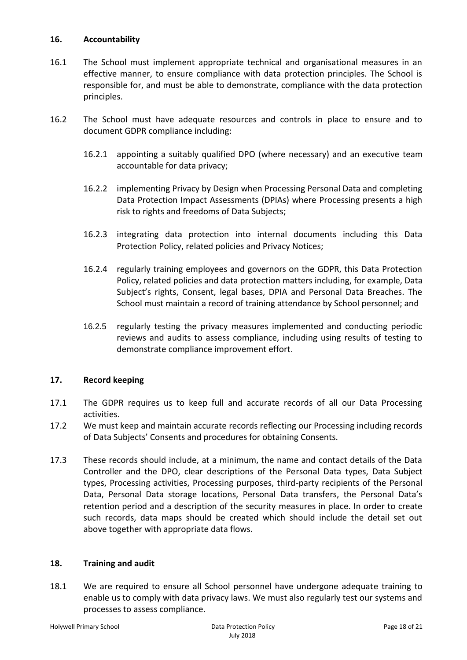## **16. Accountability**

- 16.1 The School must implement appropriate technical and organisational measures in an effective manner, to ensure compliance with data protection principles. The School is responsible for, and must be able to demonstrate, compliance with the data protection principles.
- 16.2 The School must have adequate resources and controls in place to ensure and to document GDPR compliance including:
	- 16.2.1 appointing a suitably qualified DPO (where necessary) and an executive team accountable for data privacy;
	- 16.2.2 implementing Privacy by Design when Processing Personal Data and completing Data Protection Impact Assessments (DPIAs) where Processing presents a high risk to rights and freedoms of Data Subjects;
	- 16.2.3 integrating data protection into internal documents including this Data Protection Policy, related policies and Privacy Notices;
	- 16.2.4 regularly training employees and governors on the GDPR, this Data Protection Policy, related policies and data protection matters including, for example, Data Subject's rights, Consent, legal bases, DPIA and Personal Data Breaches. The School must maintain a record of training attendance by School personnel; and
	- 16.2.5 regularly testing the privacy measures implemented and conducting periodic reviews and audits to assess compliance, including using results of testing to demonstrate compliance improvement effort.

## **17. Record keeping**

- 17.1 The GDPR requires us to keep full and accurate records of all our Data Processing activities.
- 17.2 We must keep and maintain accurate records reflecting our Processing including records of Data Subjects' Consents and procedures for obtaining Consents.
- 17.3 These records should include, at a minimum, the name and contact details of the Data Controller and the DPO, clear descriptions of the Personal Data types, Data Subject types, Processing activities, Processing purposes, third-party recipients of the Personal Data, Personal Data storage locations, Personal Data transfers, the Personal Data's retention period and a description of the security measures in place. In order to create such records, data maps should be created which should include the detail set out above together with appropriate data flows.

## **18. Training and audit**

18.1 We are required to ensure all School personnel have undergone adequate training to enable us to comply with data privacy laws. We must also regularly test our systems and processes to assess compliance.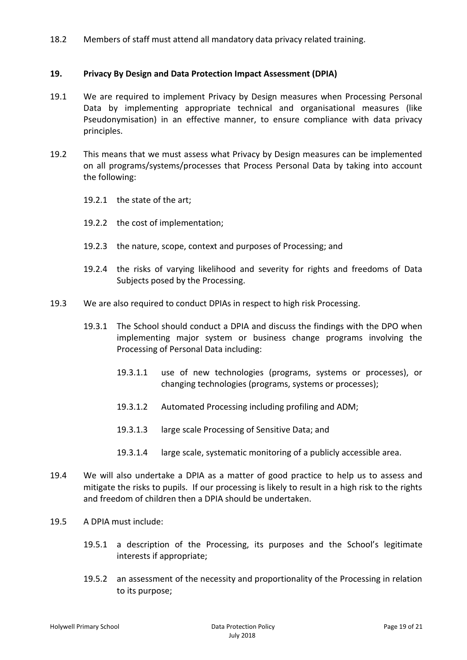18.2 Members of staff must attend all mandatory data privacy related training.

## **19. Privacy By Design and Data Protection Impact Assessment (DPIA)**

- 19.1 We are required to implement Privacy by Design measures when Processing Personal Data by implementing appropriate technical and organisational measures (like Pseudonymisation) in an effective manner, to ensure compliance with data privacy principles.
- 19.2 This means that we must assess what Privacy by Design measures can be implemented on all programs/systems/processes that Process Personal Data by taking into account the following:
	- 19.2.1 the state of the art;
	- 19.2.2 the cost of implementation;
	- 19.2.3 the nature, scope, context and purposes of Processing; and
	- 19.2.4 the risks of varying likelihood and severity for rights and freedoms of Data Subjects posed by the Processing.
- 19.3 We are also required to conduct DPIAs in respect to high risk Processing.
	- 19.3.1 The School should conduct a DPIA and discuss the findings with the DPO when implementing major system or business change programs involving the Processing of Personal Data including:
		- 19.3.1.1 use of new technologies (programs, systems or processes), or changing technologies (programs, systems or processes);
		- 19.3.1.2 Automated Processing including profiling and ADM;
		- 19.3.1.3 large scale Processing of Sensitive Data; and
		- 19.3.1.4 large scale, systematic monitoring of a publicly accessible area.
- 19.4 We will also undertake a DPIA as a matter of good practice to help us to assess and mitigate the risks to pupils. If our processing is likely to result in a high risk to the rights and freedom of children then a DPIA should be undertaken.
- 19.5 A DPIA must include:
	- 19.5.1 a description of the Processing, its purposes and the School's legitimate interests if appropriate;
	- 19.5.2 an assessment of the necessity and proportionality of the Processing in relation to its purpose;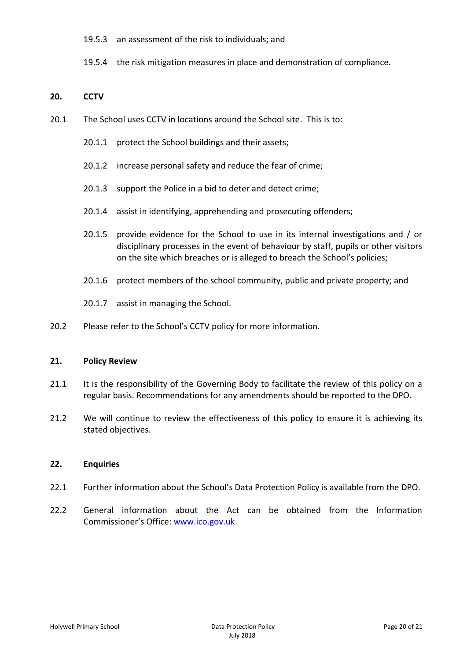- 19.5.3 an assessment of the risk to individuals; and
- 19.5.4 the risk mitigation measures in place and demonstration of compliance.

## **20. CCTV**

- 20.1 The School uses CCTV in locations around the School site. This is to:
	- 20.1.1 protect the School buildings and their assets;
	- 20.1.2 increase personal safety and reduce the fear of crime;
	- 20.1.3 support the Police in a bid to deter and detect crime;
	- 20.1.4 assist in identifying, apprehending and prosecuting offenders;
	- 20.1.5 provide evidence for the School to use in its internal investigations and / or disciplinary processes in the event of behaviour by staff, pupils or other visitors on the site which breaches or is alleged to breach the School's policies;
	- 20.1.6 protect members of the school community, public and private property; and
	- 20.1.7 assist in managing the School.
- 20.2 Please refer to the School's CCTV policy for more information.

## **21. Policy Review**

- 21.1 It is the responsibility of the Governing Body to facilitate the review of this policy on a regular basis. Recommendations for any amendments should be reported to the DPO.
- 21.2 We will continue to review the effectiveness of this policy to ensure it is achieving its stated objectives.

## **22. Enquiries**

- 22.1 Further information about the School's Data Protection Policy is available from the DPO.
- 22.2 General information about the Act can be obtained from the Information Commissioner's Office: [www.ico.gov.uk](http://www.ico.gov.uk/)